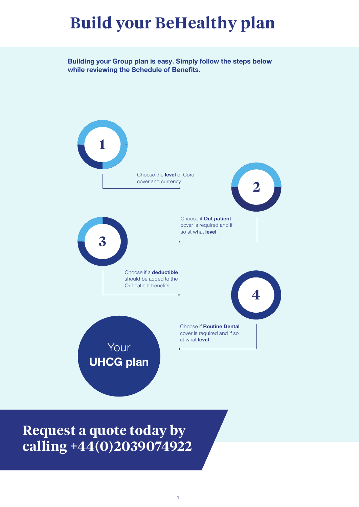# **Build your BeHealthy plan**

**Building your Group plan is easy. Simply follow the steps below while reviewing the Schedule of Benefits.**



**Request a quote today by calling +44(0)2039074922**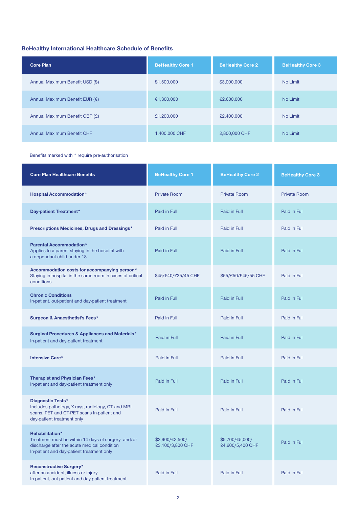## **BeHealthy International Healthcare Schedule of Benefits**

| Core Plan                         | <b>BeHealthy Core 1</b> | <b>BeHealthy Core 2</b> | <b>BeHealthy Core 3</b> |
|-----------------------------------|-------------------------|-------------------------|-------------------------|
| Annual Maximum Benefit USD (\$)   | \$1,500,000             | \$3,000,000             | No Limit                |
| Annual Maximum Benefit EUR (€)    | €1,300,000              | €2,600,000              | No Limit                |
| Annual Maximum Benefit GBP (£)    | £1,200,000              | £2,400,000              | No Limit                |
| <b>Annual Maximum Benefit CHF</b> | 1,400,000 CHF           | 2,800,000 CHF           | No Limit                |

Benefits marked with \* require pre-authorisation

| <b>Core Plan Healthcare Benefits</b>                                                                                                                              | <b>BeHealthy Core 1</b>             | <b>BeHealthy Core 2</b>             | <b>BeHealthy Core 3</b> |
|-------------------------------------------------------------------------------------------------------------------------------------------------------------------|-------------------------------------|-------------------------------------|-------------------------|
| <b>Hospital Accommodation*</b>                                                                                                                                    | <b>Private Room</b>                 | <b>Private Room</b>                 | <b>Private Room</b>     |
| Day-patient Treatment*                                                                                                                                            | Paid in Full                        | Paid in Full                        | Paid in Full            |
| Prescriptions Medicines, Drugs and Dressings*                                                                                                                     | Paid in Full                        | Paid in Full                        | Paid in Full            |
| <b>Parental Accommodation*</b><br>Applies to a parent staying in the hospital with<br>a dependant child under 18                                                  | Paid in Full                        | Paid in Full                        | Paid in Full            |
| Accommodation costs for accompanying person*<br>Staying in hospital in the same room in cases of critical<br>conditions                                           | \$45/€40/£35/45 CHF                 | \$55/€50/£45/55 CHF                 | Paid in Full            |
| <b>Chronic Conditions</b><br>In-patient, out-patient and day-patient treatment                                                                                    | Paid in Full                        | Paid in Full                        | Paid in Full            |
| <b>Surgeon &amp; Anaesthetist's Fees*</b>                                                                                                                         | Paid in Full                        | Paid in Full                        | Paid in Full            |
| <b>Surgical Procedures &amp; Appliances and Materials*</b><br>In-patient and day-patient treatment                                                                | Paid in Full                        | Paid in Full                        | Paid in Full            |
| <b>Intensive Care*</b>                                                                                                                                            | Paid in Full                        | Paid in Full                        | Paid in Full            |
| <b>Therapist and Physician Fees*</b><br>In-patient and day-patient treatment only                                                                                 | Paid in Full                        | Paid in Full                        | Paid in Full            |
| <b>Diagnostic Tests*</b><br>Includes pathology, X-rays, radiology, CT and MRI<br>scans, PET and CT-PET scans In-patient and<br>day-patient treatment only         | Paid in Full                        | Paid in Full                        | Paid in Full            |
| Rehabilitation*<br>Treatment must be within 14 days of surgery and/or<br>discharge after the acute medical condition<br>In-patient and day-patient treatment only | \$3,900/€3,500/<br>£3,100/3,800 CHF | \$5,700/€5,000/<br>£4,600/5,400 CHF | Paid in Full            |
| <b>Reconstructive Surgery*</b><br>after an accident, illness or injury<br>In-patient, out-patient and day-patient treatment                                       | Paid in Full                        | Paid in Full                        | Paid in Full            |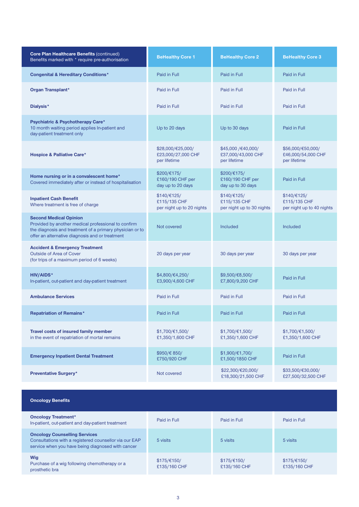| <b>Core Plan Healthcare Benefits (continued)</b><br>Benefits marked with * require pre-authorisation                                                                                                | <b>BeHealthy Core 1</b>                                  | <b>BeHealthy Core 2</b>                                          | <b>BeHealthy Core 3</b>                                          |
|-----------------------------------------------------------------------------------------------------------------------------------------------------------------------------------------------------|----------------------------------------------------------|------------------------------------------------------------------|------------------------------------------------------------------|
| <b>Congenital &amp; Hereditary Conditions*</b>                                                                                                                                                      | Paid in Full                                             | Paid in Full                                                     | Paid in Full                                                     |
| <b>Organ Transplant*</b>                                                                                                                                                                            | Paid in Full                                             | Paid in Full                                                     | Paid in Full                                                     |
| Dialysis*                                                                                                                                                                                           | Paid in Full                                             | Paid in Full                                                     | Paid in Full                                                     |
| Psychiatric & Psychotherapy Care*<br>10 month waiting period applies In-patient and<br>day-patient treatment only                                                                                   | Up to 20 days                                            | Up to 30 days                                                    | Paid in Full                                                     |
| <b>Hospice &amp; Palliative Care*</b>                                                                                                                                                               | \$28,000/€25,000/<br>£23,000/27,000 CHF<br>per lifetime  | \$45,000 /€40,000/<br>£37,000/43,000 CHF<br>per lifetime         | \$56,000/€50,000/<br>£46,000/54,000 CHF<br>per lifetime          |
| Home nursing or in a convalescent home*<br>Covered immediately after or instead of hospitalisation                                                                                                  | \$200/€175/<br>£160/190 CHF per<br>day up to 20 days     | \$200/€175/<br>£160/190 CHF per<br>day up to 30 days             | Paid in Full                                                     |
| <b>Inpatient Cash Benefit</b><br>Where treatment is free of charge                                                                                                                                  | \$140/€125/<br>£115/135 CHF<br>per night up to 20 nights | $$140/\text{€}125/$<br>£115/135 CHF<br>per night up to 30 nights | $$140/\text{€}125/$<br>£115/135 CHF<br>per night up to 40 nights |
| <b>Second Medical Opinion</b><br>Provided by another medical professional to confirm<br>the diagnosis and treatment of a primary physician or to<br>offer an alternative diagnosis and or treatment | Not covered                                              | <b>Included</b>                                                  | <b>Included</b>                                                  |
| <b>Accident &amp; Emergency Treatment</b><br><b>Outside of Area of Cover</b><br>(for trips of a maximum period of 6 weeks)                                                                          | 20 days per year                                         | 30 days per year                                                 | 30 days per year                                                 |
| <b>HIV/AIDS*</b><br>In-patient, out-patient and day-patient treatment                                                                                                                               | \$4,800/€4,250/<br>£3,900/4,600 CHF                      | \$9,500/€8,500/<br>£7,800/9,200 CHF                              | Paid in Full                                                     |
| <b>Ambulance Services</b>                                                                                                                                                                           | Paid in Full                                             | Paid in Full                                                     | Paid in Full                                                     |
| <b>Repatriation of Remains*</b>                                                                                                                                                                     | Paid in Full                                             | Paid in Full                                                     | Paid in Full                                                     |
| <b>Travel costs of insured family member</b><br>in the event of repatriation of mortal remains                                                                                                      | \$1,700/€1,500/<br>£1,350/1,600 CHF                      | \$1,700/€1,500/<br>£1,350/1,600 CHF                              | $$1,700/\text{€}1,500/$<br>£1,350/1,600 CHF                      |
| <b>Emergency Inpatient Dental Treatment</b>                                                                                                                                                         | \$950/€ 850/<br>£750/920 CHF                             | \$1,900/€1,700/<br>£1,500/1850 CHF                               | Paid in Full                                                     |
| <b>Preventative Surgery*</b>                                                                                                                                                                        | Not covered                                              | \$22,300/€20,000/<br>£18,300/21,500 CHF                          | \$33,500/€30,000/<br>£27,500/32,500 CHF                          |

| <b>Oncology Benefits</b>                                                                                                                            |                                     |                                     |                                     |
|-----------------------------------------------------------------------------------------------------------------------------------------------------|-------------------------------------|-------------------------------------|-------------------------------------|
| <b>Oncology Treatment*</b><br>In-patient, out-patient and day-patient treatment                                                                     | Paid in Full                        | Paid in Full                        | Paid in Full                        |
| <b>Oncology Counselling Services</b><br>Consultations with a registered counsellor via our EAP<br>service when you have being diagnosed with cancer | 5 visits                            | 5 visits                            | 5 visits                            |
| <b>Wig</b><br>Purchase of a wig following chemotherapy or a<br>prosthetic bra                                                                       | $$175/\text{€}150/$<br>£135/160 CHF | $$175/\text{€}150/$<br>£135/160 CHF | $$175/\text{€}150/$<br>£135/160 CHF |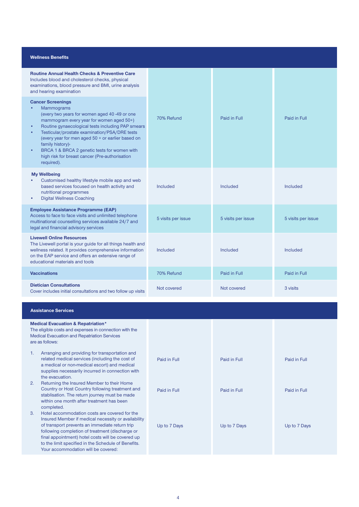| <b>Wellness Benefits</b>                                                                                                                                                                                                                                                                                                                                                                                                                      |                    |                    |                    |
|-----------------------------------------------------------------------------------------------------------------------------------------------------------------------------------------------------------------------------------------------------------------------------------------------------------------------------------------------------------------------------------------------------------------------------------------------|--------------------|--------------------|--------------------|
| <b>Routine Annual Health Checks &amp; Preventive Care</b><br>Includes blood and cholesterol checks, physical<br>examinations, blood pressure and BMI, urine analysis<br>and hearing examination                                                                                                                                                                                                                                               |                    |                    |                    |
| <b>Cancer Screenings</b><br>Mammograms<br>(every two years for women aged 40-49 or one<br>mammogram every year for women aged 50+)<br>Routine gynaecological tests including PAP smears<br>$\bullet$<br>Testicular/prostate examination/PSA/DRE tests<br>(every year for men aged 50 + or earlier based on<br>family history)<br>BRCA 1 & BRCA 2 genetic tests for women with<br>high risk for breast cancer (Pre-authorisation<br>required). | 70% Refund         | Paid in Full       | Paid in Full       |
| <b>My Wellbeing</b><br>Customised healthy lifestyle mobile app and web<br>based services focused on health activity and<br>nutritional programmes<br><b>Digital Wellness Coaching</b>                                                                                                                                                                                                                                                         | Included           | Included           | Included           |
| <b>Employee Assistance Programme (EAP)</b><br>Access to face to face visits and unlimited telephone<br>multinational counselling services available 24/7 and<br>legal and financial advisory services                                                                                                                                                                                                                                         | 5 visits per issue | 5 visits per issue | 5 visits per issue |
| <b>Livewell Online Resources</b><br>The Livewell portal is your guide for all things health and<br>wellness related. It provides comprehensive information<br>on the EAP service and offers an extensive range of<br>educational materials and tools                                                                                                                                                                                          | Included           | <b>Included</b>    | Included           |
| <b>Vaccinations</b>                                                                                                                                                                                                                                                                                                                                                                                                                           | 70% Refund         | Paid in Full       | Paid in Full       |
| <b>Dietician Consultations</b><br>Cover includes initial consultations and two follow up visits                                                                                                                                                                                                                                                                                                                                               | Not covered        | Not covered        | 3 visits           |
| <b>Assistance Services</b>                                                                                                                                                                                                                                                                                                                                                                                                                    |                    |                    |                    |
| <b>Medical Evacuation &amp; Repatriation*</b><br>The eligible costs and expenses in connection with the<br><b>Medical Evacuation and Repatriation Services</b><br>are as follows:                                                                                                                                                                                                                                                             |                    |                    |                    |
| Arranging and providing for transportation and<br>1.<br>related medical services (including the cost of<br>a medical or non-medical escort) and medical<br>supplies necessarily incurred in connection with<br>the evacuation.                                                                                                                                                                                                                | Paid in Full       | Paid in Full       | Paid in Full       |
| Returning the Insured Member to their Home<br>2.<br>Country or Host Country following treatment and<br>stablisation. The return journey must be made<br>within one month after treatment has been<br>completed.                                                                                                                                                                                                                               | Paid in Full       | Paid in Full       | Paid in Full       |
| Hotel accommodation costs are covered for the<br>3.<br>Insured Member if medical necessity or availability<br>of transport prevents an immediate return trip<br>following completion of treatment (discharge or<br>final appointment) hotel costs will be covered up<br>to the limit specified in the Schedule of Benefits.                                                                                                                   | Up to 7 Days       | Up to 7 Days       | Up to 7 Days       |

Your accommodation will be covered: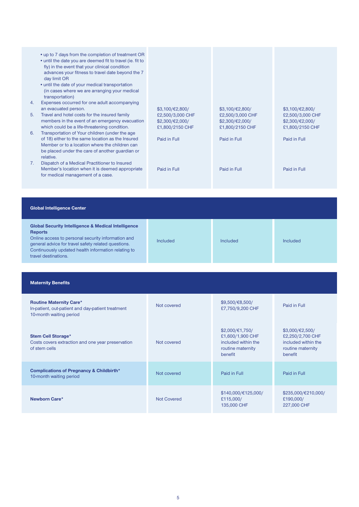| 4.<br>5.<br>6.<br>7. | • up to 7 days from the completion of treatment OR<br>• until the date you are deemed fit to travel (ie. fit to<br>fly) in the event that your clinical condition<br>advances your fitness to travel date beyond the 7<br>day limit OR<br>• until the date of your medical transportation<br>(in cases where we are arranging your medical<br>transportation)<br>Expenses occurred for one adult accompanying<br>an evacuated person.<br>Travel and hotel costs for the insured family<br>members in the event of an emergency evacuation<br>which could be a life-threatening condition.<br>Transportation of Your children (under the age<br>of 18) either to the same location as the Insured<br>Member or to a location where the children can<br>be placed under the care of another guardian or<br>relative.<br>Dispatch of a Medical Practitioner to Insured<br>Member's location when it is deemed appropriate<br>for medical management of a case. | $$3,100/\text{€}2,800/$<br>£2,500/3,000 CHF<br>\$2,300/€2,000/<br>£1,800/2150 CHF<br>Paid in Full<br>Paid in Full | $$3,100/\text{€}2,800/$<br>£2,500/3,000 CHF<br>\$2,300/€2,000/<br>£1,800/2150 CHF<br>Paid in Full<br>Paid in Full | $$3,100/\text{€}2,800/$<br>£2,500/3,000 CHF<br>\$2,300/€2,000/<br>£1,800/2150 CHF<br>Paid in Full<br>Paid in Full |
|----------------------|-------------------------------------------------------------------------------------------------------------------------------------------------------------------------------------------------------------------------------------------------------------------------------------------------------------------------------------------------------------------------------------------------------------------------------------------------------------------------------------------------------------------------------------------------------------------------------------------------------------------------------------------------------------------------------------------------------------------------------------------------------------------------------------------------------------------------------------------------------------------------------------------------------------------------------------------------------------|-------------------------------------------------------------------------------------------------------------------|-------------------------------------------------------------------------------------------------------------------|-------------------------------------------------------------------------------------------------------------------|
|                      |                                                                                                                                                                                                                                                                                                                                                                                                                                                                                                                                                                                                                                                                                                                                                                                                                                                                                                                                                             |                                                                                                                   |                                                                                                                   |                                                                                                                   |
|                      |                                                                                                                                                                                                                                                                                                                                                                                                                                                                                                                                                                                                                                                                                                                                                                                                                                                                                                                                                             |                                                                                                                   |                                                                                                                   |                                                                                                                   |

| <b>Global Intelligence Center</b>                                                                                                                                                                                                                                            |                 |          |          |
|------------------------------------------------------------------------------------------------------------------------------------------------------------------------------------------------------------------------------------------------------------------------------|-----------------|----------|----------|
| <b>Global Security Intelligence &amp; Medical Intelligence</b><br><b>Reports</b><br>Online access to personal security information and<br>general advice for travel safety related questions.<br>Continuously updated health information relating to<br>travel destinations. | <b>Included</b> | Included | Included |

| <b>Maternity Benefits</b>                                                                                      |             |                                                                                                    |                                                                                                    |
|----------------------------------------------------------------------------------------------------------------|-------------|----------------------------------------------------------------------------------------------------|----------------------------------------------------------------------------------------------------|
| <b>Routine Maternity Care*</b><br>In-patient, out-patient and day-patient treatment<br>10-month waiting period | Not covered | $$9,500/\text{€}8,500/$<br>£7,750/9,200 CHF                                                        | Paid in Full                                                                                       |
| <b>Stem Cell Storage*</b><br>Costs covers extraction and one year preservation<br>of stem cells                | Not covered | $$2,000/\text{€}1,750/$<br>£1,600/1,900 CHF<br>included within the<br>routine maternity<br>benefit | $$3,000/\text{€}2,500/$<br>£2,250/2,700 CHF<br>included within the<br>routine maternity<br>benefit |
| Complications of Pregnancy & Childbirth*<br>10-month waiting period                                            | Not covered | Paid in Full                                                                                       | Paid in Full                                                                                       |
| Newborn Care*                                                                                                  | Not Covered | \$140,000/€125,000/<br>£115,000/<br>135,000 CHF                                                    | \$235,000/€210,000/<br>£190,000/<br>227,000 CHF                                                    |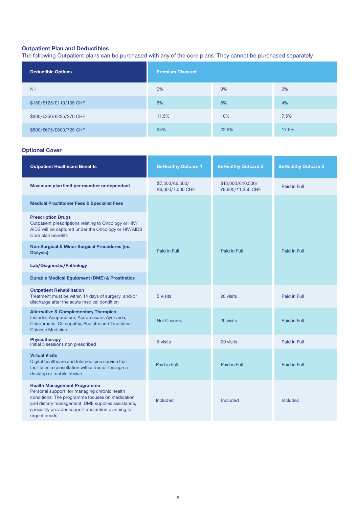### **Outpatient Plan and Deductibles**

The following Outpatient plans can be purchased with any of the core plans. They cannot be purchased separately.

| <b>Deductible Options</b> | <b>Premium Discount</b> |       |       |
|---------------------------|-------------------------|-------|-------|
| Nil                       | 0%                      | $0\%$ | 0%    |
| \$150/€125/£110/135 CHF   | 6%                      | 5%    | 4%    |
| \$300/€250/£225/270 CHF   | 11.5%                   | 10%   | 7.5%  |
| \$800/€675/£600/725 CHF   | 25%                     | 22.5% | 17.5% |

#### **Optional Cover**

| <b>Outpatient Healthcare Benefits</b>                                                                                                                                                                                                                            | <b>BeHealthy Outcare 1</b>          | <b>BeHealthy Outcare 2</b>                                 | <b>BeHealthy Outcare 3</b> |
|------------------------------------------------------------------------------------------------------------------------------------------------------------------------------------------------------------------------------------------------------------------|-------------------------------------|------------------------------------------------------------|----------------------------|
| Maximum plan limit per member or dependant.                                                                                                                                                                                                                      | \$7,500/€6,500/<br>£6,000/7,000 CHF | $$12,000/\text{\textsterling}10,500/$<br>£9,600/11,350 CHF | Paid in Full               |
| <b>Medical Practitioner Fees &amp; Specialist Fees</b>                                                                                                                                                                                                           |                                     |                                                            |                            |
| <b>Prescription Drugs</b><br>Outpatient prescriptions relating to Oncology or HIV/<br>AIDS will be captured under the Oncology or HIV/AIDS<br>Core plan benefits                                                                                                 |                                     |                                                            |                            |
| Non-Surgical & Minor Surgical Procedures (ex.<br>Dialysis)                                                                                                                                                                                                       | Paid in Full                        | Paid in Full                                               | Paid in Full               |
| Lab/Diagnostic/Pathology                                                                                                                                                                                                                                         |                                     |                                                            |                            |
| <b>Durable Medical Equipment (DME) &amp; Prosthetics</b>                                                                                                                                                                                                         |                                     |                                                            |                            |
| <b>Outpatient Rehabilitation</b><br>Treatment must be within 14 days of surgery and/or<br>discharge after the acute medical condition                                                                                                                            | 5 Visits                            | 20 visits                                                  | Paid in Full               |
| <b>Alternative &amp; Complementary Therapies</b><br>Includes Acupuncture, Acupressure, Ayurveda,<br>Chiropractic, Osteopathy, Podiatry and Traditional<br><b>Chinese Medicine</b>                                                                                | <b>Not Covered</b>                  | 20 visits                                                  | Paid in Full               |
| Physiotherapy<br>Initial 5 sessions non prescribed                                                                                                                                                                                                               | 5 visits                            | 20 visits                                                  | Paid in Full               |
| <b>Virtual Visits</b><br>Digital healthcare and telemedicine service that<br>facilitates a consultation with a doctor through a<br>desktop or mobile device                                                                                                      | Paid in Full                        | Paid in Full                                               | Paid in Full               |
| <b>Health Management Programme</b><br>Personal support for managing chronic health<br>conditions. The programme focuses on medication<br>and dietary management, DME supplies assistance,<br>speciality provider support and action planning for<br>urgent needs | Included                            | Included                                                   | Included                   |
|                                                                                                                                                                                                                                                                  |                                     |                                                            |                            |